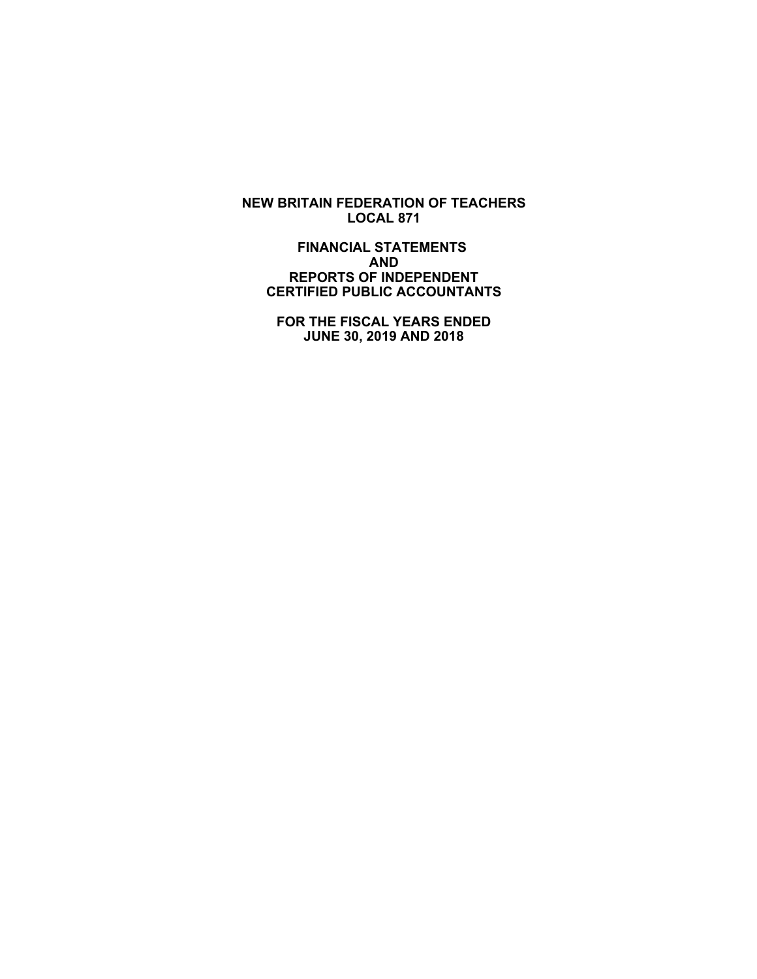**NEW BRITAIN FEDERATION OF TEACHERS LOCAL 871**

 **FINANCIAL STATEMENTS AND REPORTS OF INDEPENDENT CERTIFIED PUBLIC ACCOUNTANTS**

 **FOR THE FISCAL YEARS ENDED JUNE 30, 2019 AND 2018**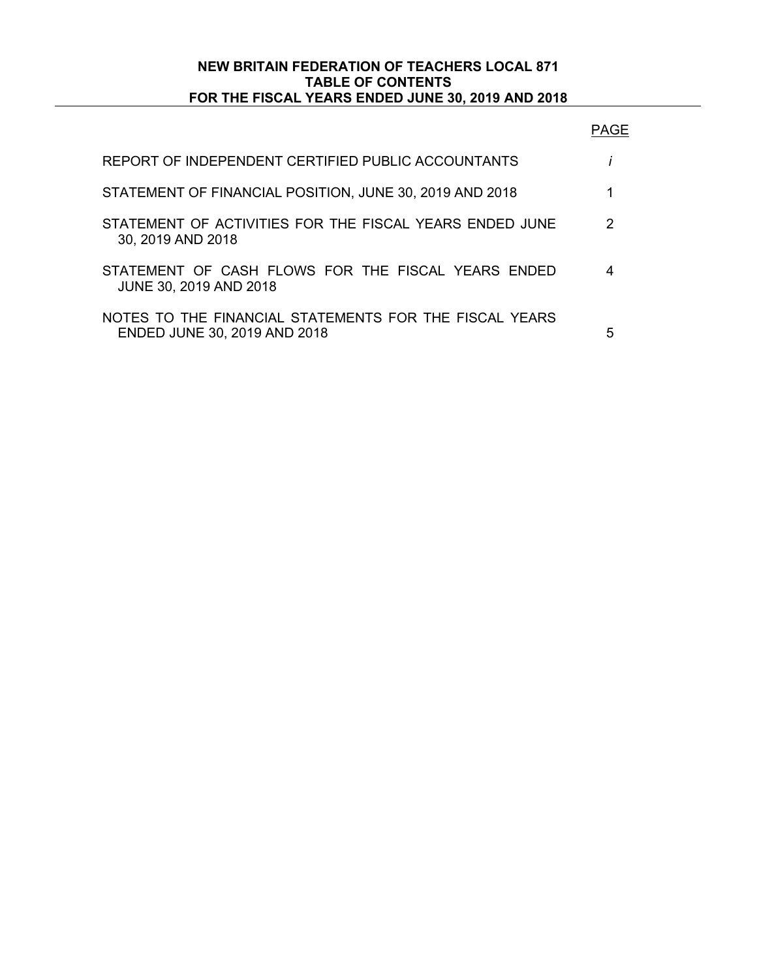# **NEW BRITAIN FEDERATION OF TEACHERS LOCAL 871 TABLE OF CONTENTS FOR THE FISCAL YEARS ENDED JUNE 30, 2019 AND 2018**

| REPORT OF INDEPENDENT CERTIFIED PUBLIC ACCOUNTANTS                                     |   |
|----------------------------------------------------------------------------------------|---|
| STATEMENT OF FINANCIAL POSITION, JUNE 30, 2019 AND 2018                                |   |
| STATEMENT OF ACTIVITIES FOR THE FISCAL YEARS ENDED JUNE<br>30, 2019 AND 2018           | 2 |
| STATEMENT OF CASH FLOWS FOR THE FISCAL YEARS ENDED<br><b>JUNE 30, 2019 AND 2018</b>    |   |
| NOTES TO THE FINANCIAL STATEMENTS FOR THE FISCAL YEARS<br>ENDED JUNE 30, 2019 AND 2018 | 5 |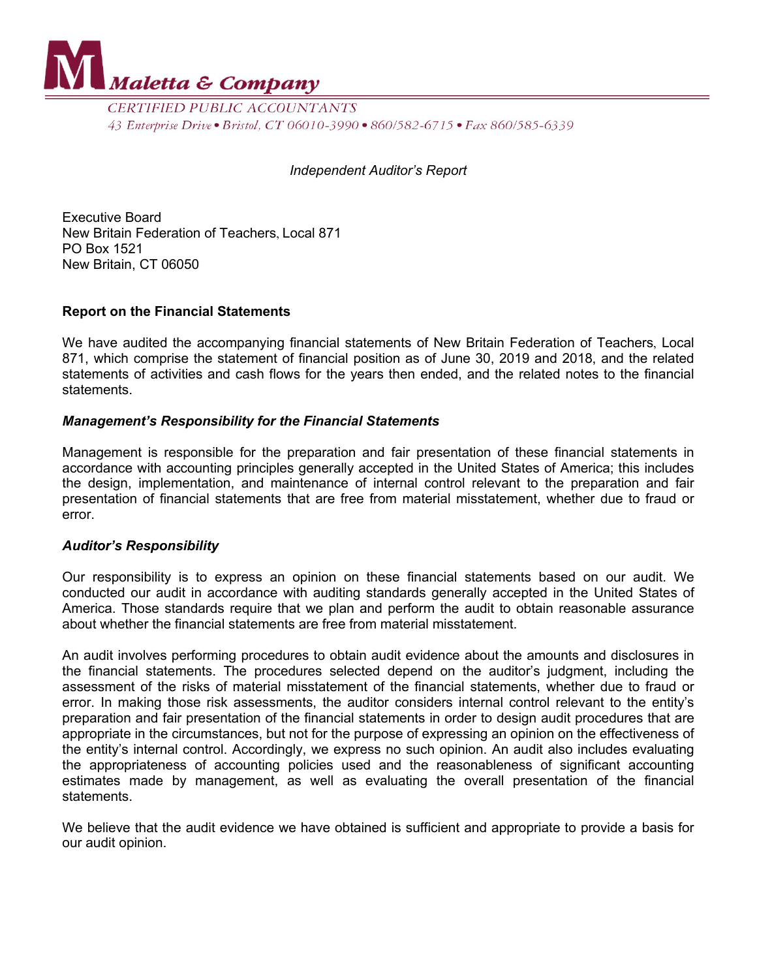

CERTIFIED PUBLIC ACCOUNTANTS 43 Enterprise Drive • Bristol, CT 06010-3990 • 860/582-6715 • Fax 860/585-6339

### *Independent Auditor's Report*

Executive Board New Britain Federation of Teachers, Local 871 PO Box 1521 New Britain, CT 06050

# **Report on the Financial Statements**

We have audited the accompanying financial statements of New Britain Federation of Teachers, Local 871, which comprise the statement of financial position as of June 30, 2019 and 2018, and the related statements of activities and cash flows for the years then ended, and the related notes to the financial statements.

# *Management's Responsibility for the Financial Statements*

Management is responsible for the preparation and fair presentation of these financial statements in accordance with accounting principles generally accepted in the United States of America; this includes the design, implementation, and maintenance of internal control relevant to the preparation and fair presentation of financial statements that are free from material misstatement, whether due to fraud or error.

#### *Auditor's Responsibility*

Our responsibility is to express an opinion on these financial statements based on our audit. We conducted our audit in accordance with auditing standards generally accepted in the United States of America. Those standards require that we plan and perform the audit to obtain reasonable assurance about whether the financial statements are free from material misstatement.

An audit involves performing procedures to obtain audit evidence about the amounts and disclosures in the financial statements. The procedures selected depend on the auditor's judgment, including the assessment of the risks of material misstatement of the financial statements, whether due to fraud or error. In making those risk assessments, the auditor considers internal control relevant to the entity's preparation and fair presentation of the financial statements in order to design audit procedures that are appropriate in the circumstances, but not for the purpose of expressing an opinion on the effectiveness of the entity's internal control. Accordingly, we express no such opinion. An audit also includes evaluating the appropriateness of accounting policies used and the reasonableness of significant accounting estimates made by management, as well as evaluating the overall presentation of the financial statements.

We believe that the audit evidence we have obtained is sufficient and appropriate to provide a basis for our audit opinion.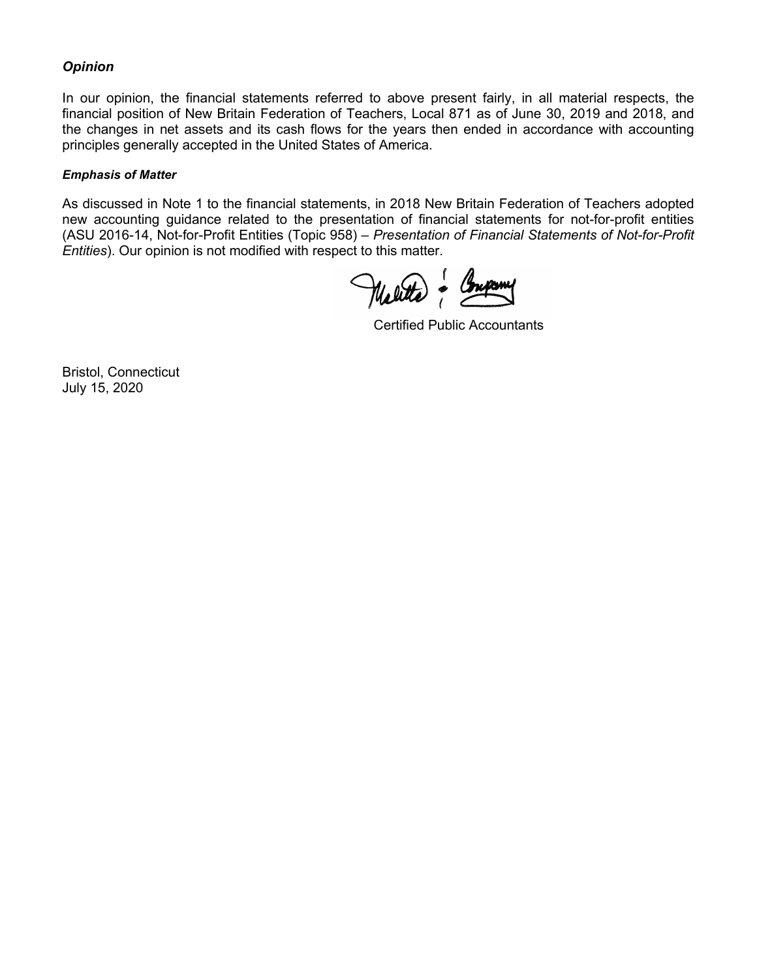# *Opinion*

In our opinion, the financial statements referred to above present fairly, in all material respects, the financial position of New Britain Federation of Teachers, Local 871 as of June 30, 2019 and 2018, and the changes in net assets and its cash flows for the years then ended in accordance with accounting principles generally accepted in the United States of America.

#### *Emphasis of Matter*

As discussed in Note 1 to the financial statements, in 2018 New Britain Federation of Teachers adopted new accounting guidance related to the presentation of financial statements for not-for-profit entities (ASU 2016-14, Not-for-Profit Entities (Topic 958) – *Presentation of Financial Statements of Not-for-Profit Entities*). Our opinion is not modified with respect to this matter.

Molitta - Company Maletta & Company of Company of Company of Company of Company of Company of Company of Company of Company of Co<br>Experimental Company of Company of Company of Company of Company of Company of Company of Company of Company o

Certified Public Accountants

Bristol, Connecticut July 15, 2020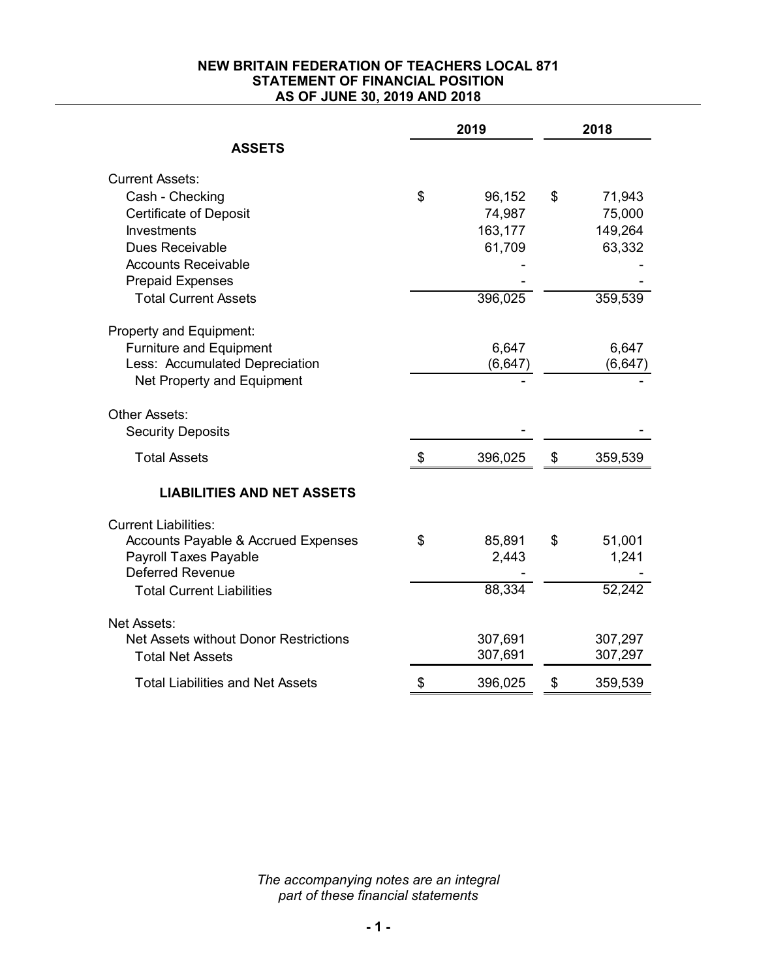# **NEW BRITAIN FEDERATION OF TEACHERS LOCAL 871 STATEMENT OF FINANCIAL POSITION AS OF JUNE 30, 2019 AND 2018**

|                                                | 2019 |          | 2018 |          |  |
|------------------------------------------------|------|----------|------|----------|--|
| <b>ASSETS</b>                                  |      |          |      |          |  |
| <b>Current Assets:</b>                         |      |          |      |          |  |
| Cash - Checking                                | \$   | 96,152   | \$   | 71,943   |  |
| <b>Certificate of Deposit</b>                  |      | 74,987   |      | 75,000   |  |
| <b>Investments</b>                             |      | 163,177  |      | 149,264  |  |
| Dues Receivable                                |      | 61,709   |      | 63,332   |  |
| <b>Accounts Receivable</b>                     |      |          |      |          |  |
| <b>Prepaid Expenses</b>                        |      |          |      |          |  |
| <b>Total Current Assets</b>                    |      | 396,025  |      | 359,539  |  |
| Property and Equipment:                        |      |          |      |          |  |
| <b>Furniture and Equipment</b>                 |      | 6,647    |      | 6,647    |  |
| Less: Accumulated Depreciation                 |      | (6, 647) |      | (6, 647) |  |
| Net Property and Equipment                     |      |          |      |          |  |
| Other Assets:<br><b>Security Deposits</b>      |      |          |      |          |  |
| <b>Total Assets</b>                            | \$   | 396,025  | \$   | 359,539  |  |
| <b>LIABILITIES AND NET ASSETS</b>              |      |          |      |          |  |
| <b>Current Liabilities:</b>                    |      |          |      |          |  |
| <b>Accounts Payable &amp; Accrued Expenses</b> | \$   | 85,891   | \$   | 51,001   |  |
| <b>Payroll Taxes Payable</b>                   |      | 2,443    |      | 1,241    |  |
| <b>Deferred Revenue</b>                        |      |          |      |          |  |
| <b>Total Current Liabilities</b>               |      | 88,334   |      | 52,242   |  |
| Net Assets:                                    |      |          |      |          |  |
| Net Assets without Donor Restrictions          |      | 307,691  |      | 307,297  |  |
| <b>Total Net Assets</b>                        |      | 307,691  |      | 307,297  |  |
| <b>Total Liabilities and Net Assets</b>        | \$   | 396,025  | \$   | 359,539  |  |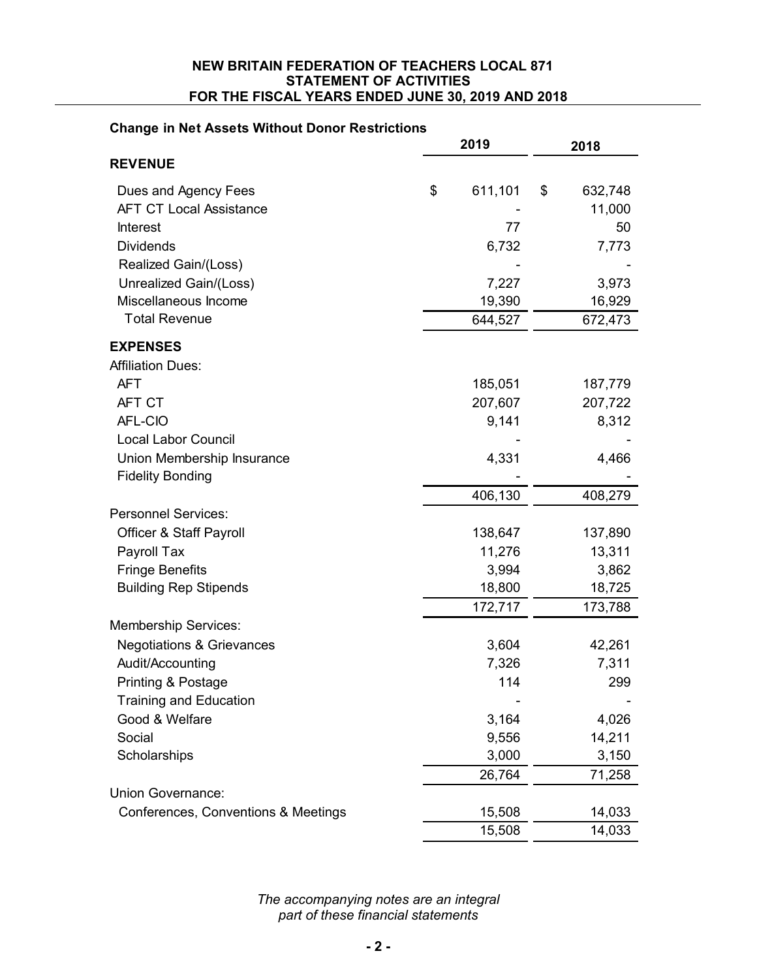#### **NEW BRITAIN FEDERATION OF TEACHERS LOCAL 871 STATEMENT OF ACTIVITIES FOR THE FISCAL YEARS ENDED JUNE 30, 2019 AND 2018**

# **Change in Net Assets Without Donor Restrictions**

|                                      | 2019 |         | 2018 |         |
|--------------------------------------|------|---------|------|---------|
| <b>REVENUE</b>                       |      |         |      |         |
| Dues and Agency Fees                 | \$   | 611,101 | \$   | 632,748 |
| <b>AFT CT Local Assistance</b>       |      |         |      | 11,000  |
| <b>Interest</b>                      |      | 77      |      | 50      |
| <b>Dividends</b>                     |      | 6,732   |      | 7,773   |
| Realized Gain/(Loss)                 |      |         |      |         |
| Unrealized Gain/(Loss)               |      | 7,227   |      | 3,973   |
| Miscellaneous Income                 |      | 19,390  |      | 16,929  |
| <b>Total Revenue</b>                 |      | 644,527 |      | 672,473 |
| <b>EXPENSES</b>                      |      |         |      |         |
| <b>Affiliation Dues:</b>             |      |         |      |         |
| <b>AFT</b>                           |      | 185,051 |      | 187,779 |
| AFT CT                               |      | 207,607 |      | 207,722 |
| AFL-CIO                              |      | 9,141   |      | 8,312   |
| <b>Local Labor Council</b>           |      |         |      |         |
| Union Membership Insurance           |      | 4,331   |      | 4,466   |
| <b>Fidelity Bonding</b>              |      |         |      |         |
|                                      |      | 406,130 |      | 408,279 |
| <b>Personnel Services:</b>           |      |         |      |         |
| Officer & Staff Payroll              |      | 138,647 |      | 137,890 |
| Payroll Tax                          |      | 11,276  |      | 13,311  |
| <b>Fringe Benefits</b>               |      | 3,994   |      | 3,862   |
| <b>Building Rep Stipends</b>         |      | 18,800  |      | 18,725  |
|                                      |      | 172,717 |      | 173,788 |
| <b>Membership Services:</b>          |      |         |      |         |
| <b>Negotiations &amp; Grievances</b> |      | 3,604   |      | 42,261  |
| Audit/Accounting                     |      | 7,326   |      | 7,311   |
| Printing & Postage                   |      | 114     |      | 299     |
| <b>Training and Education</b>        |      |         |      |         |
| Good & Welfare                       |      | 3,164   |      | 4,026   |
| Social                               |      | 9,556   |      | 14,211  |
| Scholarships                         |      | 3,000   |      | 3,150   |
|                                      |      | 26,764  |      | 71,258  |
| Union Governance:                    |      |         |      |         |
| Conferences, Conventions & Meetings  |      | 15,508  |      | 14,033  |
|                                      |      | 15,508  |      | 14,033  |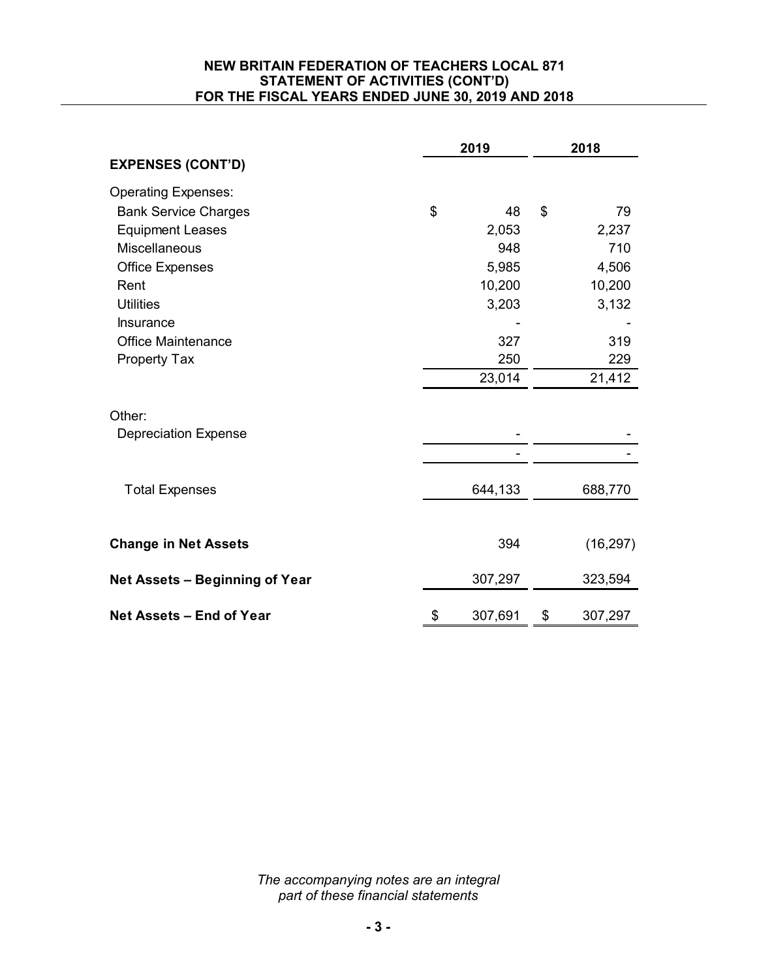# **NEW BRITAIN FEDERATION OF TEACHERS LOCAL 871 STATEMENT OF ACTIVITIES (CONT'D) FOR THE FISCAL YEARS ENDED JUNE 30, 2019 AND 2018**

|                                | 2019 |         | 2018 |           |
|--------------------------------|------|---------|------|-----------|
| <b>EXPENSES (CONT'D)</b>       |      |         |      |           |
| <b>Operating Expenses:</b>     |      |         |      |           |
| <b>Bank Service Charges</b>    | \$   | 48      | \$   | 79        |
| <b>Equipment Leases</b>        |      | 2,053   |      | 2,237     |
| Miscellaneous                  |      | 948     |      | 710       |
| <b>Office Expenses</b>         |      | 5,985   |      | 4,506     |
| Rent                           |      | 10,200  |      | 10,200    |
| <b>Utilities</b>               |      | 3,203   |      | 3,132     |
| Insurance                      |      |         |      |           |
| <b>Office Maintenance</b>      |      | 327     |      | 319       |
| <b>Property Tax</b>            |      | 250     |      | 229       |
|                                |      | 23,014  |      | 21,412    |
| Other:                         |      |         |      |           |
| <b>Depreciation Expense</b>    |      |         |      |           |
|                                |      |         |      |           |
| <b>Total Expenses</b>          |      | 644,133 |      | 688,770   |
| <b>Change in Net Assets</b>    |      | 394     |      | (16, 297) |
| Net Assets - Beginning of Year |      | 307,297 |      | 323,594   |
| Net Assets - End of Year       | \$   | 307,691 | \$   | 307,297   |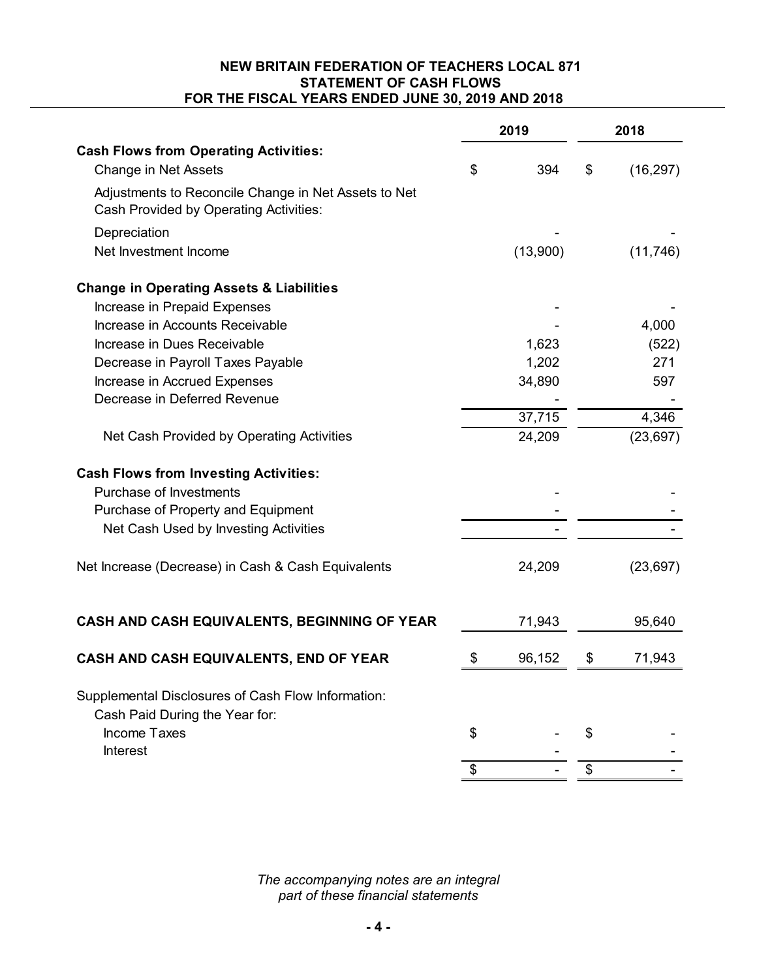# **NEW BRITAIN FEDERATION OF TEACHERS LOCAL 871 STATEMENT OF CASH FLOWS FOR THE FISCAL YEARS ENDED JUNE 30, 2019 AND 2018**

|                                                                                                | 2019 |          | 2018 |           |  |
|------------------------------------------------------------------------------------------------|------|----------|------|-----------|--|
| <b>Cash Flows from Operating Activities:</b>                                                   |      |          |      |           |  |
| Change in Net Assets                                                                           | \$   | 394      | \$   | (16, 297) |  |
| Adjustments to Reconcile Change in Net Assets to Net<br>Cash Provided by Operating Activities: |      |          |      |           |  |
| Depreciation                                                                                   |      |          |      |           |  |
| Net Investment Income                                                                          |      | (13,900) |      | (11, 746) |  |
| <b>Change in Operating Assets &amp; Liabilities</b>                                            |      |          |      |           |  |
| Increase in Prepaid Expenses                                                                   |      |          |      |           |  |
| Increase in Accounts Receivable                                                                |      |          |      | 4,000     |  |
| Increase in Dues Receivable                                                                    |      | 1,623    |      | (522)     |  |
| Decrease in Payroll Taxes Payable                                                              |      | 1,202    |      | 271       |  |
| Increase in Accrued Expenses                                                                   |      | 34,890   |      | 597       |  |
| Decrease in Deferred Revenue                                                                   |      |          |      |           |  |
|                                                                                                |      | 37,715   |      | 4,346     |  |
| Net Cash Provided by Operating Activities                                                      |      | 24,209   |      | (23, 697) |  |
| <b>Cash Flows from Investing Activities:</b>                                                   |      |          |      |           |  |
| <b>Purchase of Investments</b>                                                                 |      |          |      |           |  |
| Purchase of Property and Equipment                                                             |      |          |      |           |  |
| Net Cash Used by Investing Activities                                                          |      |          |      |           |  |
| Net Increase (Decrease) in Cash & Cash Equivalents                                             |      | 24,209   |      | (23, 697) |  |
| CASH AND CASH EQUIVALENTS, BEGINNING OF YEAR                                                   |      | 71,943   |      | 95,640    |  |
| CASH AND CASH EQUIVALENTS, END OF YEAR                                                         | \$   | 96,152   | \$   | 71,943    |  |
|                                                                                                |      |          |      |           |  |
| Supplemental Disclosures of Cash Flow Information:<br>Cash Paid During the Year for:           |      |          |      |           |  |
| <b>Income Taxes</b>                                                                            | \$   |          | \$   |           |  |
| <b>Interest</b>                                                                                | \$   |          | \$   |           |  |
|                                                                                                |      |          |      |           |  |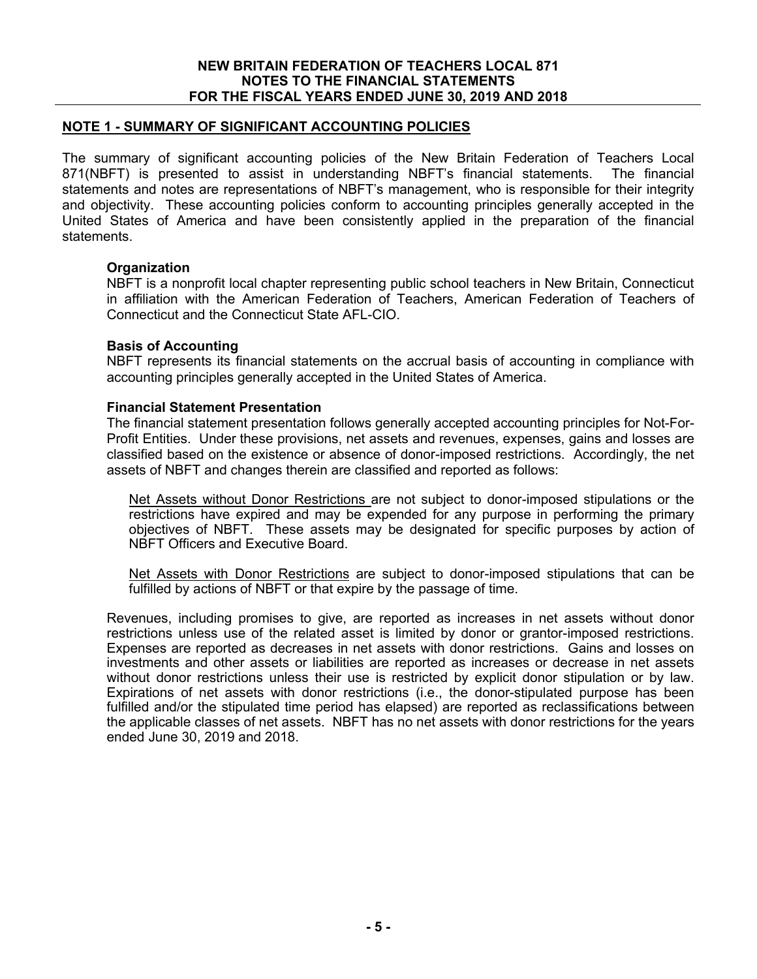# **NOTE 1 - SUMMARY OF SIGNIFICANT ACCOUNTING POLICIES**

The summary of significant accounting policies of the New Britain Federation of Teachers Local 871(NBFT) is presented to assist in understanding NBFT's financial statements. The financial statements and notes are representations of NBFT's management, who is responsible for their integrity and objectivity. These accounting policies conform to accounting principles generally accepted in the United States of America and have been consistently applied in the preparation of the financial statements.

# **Organization**

NBFT is a nonprofit local chapter representing public school teachers in New Britain, Connecticut in affiliation with the American Federation of Teachers, American Federation of Teachers of Connecticut and the Connecticut State AFL-CIO.

# **Basis of Accounting**

NBFT represents its financial statements on the accrual basis of accounting in compliance with accounting principles generally accepted in the United States of America.

#### **Financial Statement Presentation**

The financial statement presentation follows generally accepted accounting principles for Not-For-Profit Entities. Under these provisions, net assets and revenues, expenses, gains and losses are classified based on the existence or absence of donor-imposed restrictions. Accordingly, the net assets of NBFT and changes therein are classified and reported as follows:

Net Assets without Donor Restrictions are not subject to donor-imposed stipulations or the restrictions have expired and may be expended for any purpose in performing the primary objectives of NBFT. These assets may be designated for specific purposes by action of NBFT Officers and Executive Board.

Net Assets with Donor Restrictions are subject to donor-imposed stipulations that can be fulfilled by actions of NBFT or that expire by the passage of time.

Revenues, including promises to give, are reported as increases in net assets without donor restrictions unless use of the related asset is limited by donor or grantor-imposed restrictions. Expenses are reported as decreases in net assets with donor restrictions. Gains and losses on investments and other assets or liabilities are reported as increases or decrease in net assets without donor restrictions unless their use is restricted by explicit donor stipulation or by law. Expirations of net assets with donor restrictions (i.e., the donor-stipulated purpose has been fulfilled and/or the stipulated time period has elapsed) are reported as reclassifications between the applicable classes of net assets. NBFT has no net assets with donor restrictions for the years ended June 30, 2019 and 2018.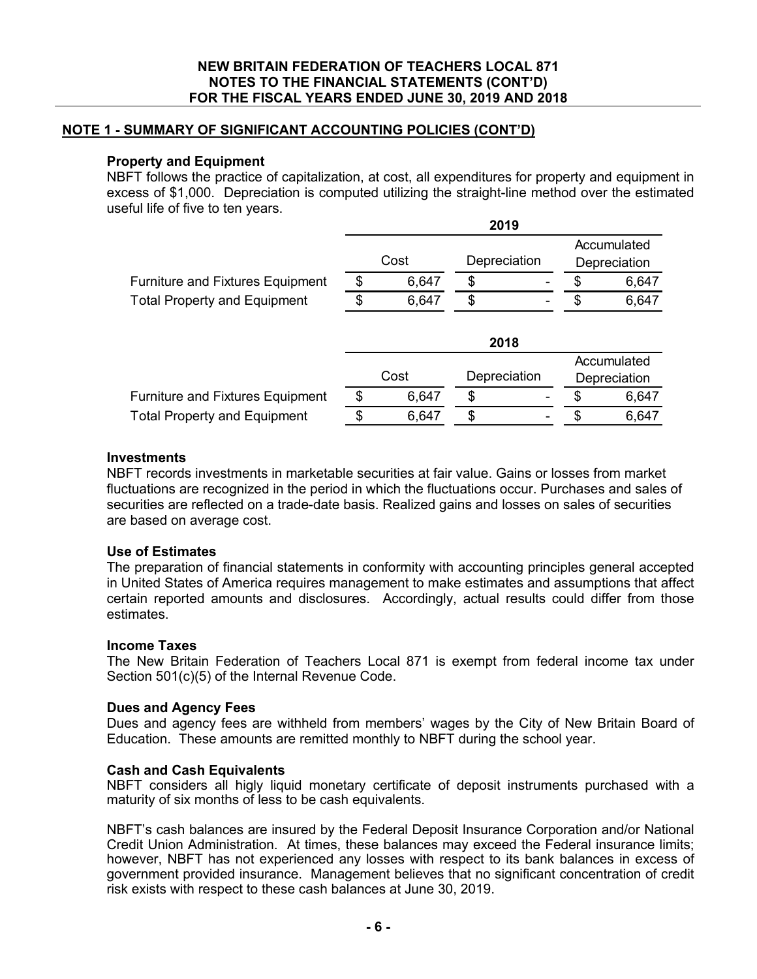# **NOTE 1 - SUMMARY OF SIGNIFICANT ACCOUNTING POLICIES (CONT'D)**

### **Property and Equipment**

NBFT follows the practice of capitalization, at cost, all expenditures for property and equipment in excess of \$1,000. Depreciation is computed utilizing the straight-line method over the estimated useful life of five to ten years.

|                                         | 2019 |       |              |  |    |              |
|-----------------------------------------|------|-------|--------------|--|----|--------------|
|                                         |      |       |              |  |    | Accumulated  |
|                                         |      | Cost  | Depreciation |  |    | Depreciation |
| <b>Furniture and Fixtures Equipment</b> | \$   | 6,647 | \$           |  | \$ | 6,647        |
| <b>Total Property and Equipment</b>     | \$   | 6,647 | \$           |  | \$ | 6,647        |
|                                         |      |       | 2018         |  |    |              |
|                                         |      |       |              |  |    | Accumulated  |
|                                         |      | Cost  | Depreciation |  |    | Depreciation |
| <b>Furniture and Fixtures Equipment</b> | S    | 6,647 | \$           |  | \$ | 6,647        |
| <b>Total Property and Equipment</b>     | \$   | 6,647 | \$           |  | S  | 6,647        |

# **Investments**

NBFT records investments in marketable securities at fair value. Gains or losses from market fluctuations are recognized in the period in which the fluctuations occur. Purchases and sales of securities are reflected on a trade-date basis. Realized gains and losses on sales of securities are based on average cost.

# **Use of Estimates**

The preparation of financial statements in conformity with accounting principles general accepted in United States of America requires management to make estimates and assumptions that affect certain reported amounts and disclosures. Accordingly, actual results could differ from those estimates.

#### **Income Taxes**

The New Britain Federation of Teachers Local 871 is exempt from federal income tax under Section 501(c)(5) of the Internal Revenue Code.

#### **Dues and Agency Fees**

Dues and agency fees are withheld from members' wages by the City of New Britain Board of Education. These amounts are remitted monthly to NBFT during the school year.

#### **Cash and Cash Equivalents**

NBFT considers all higly liquid monetary certificate of deposit instruments purchased with a maturity of six months of less to be cash equivalents.

NBFT's cash balances are insured by the Federal Deposit Insurance Corporation and/or National Credit Union Administration. At times, these balances may exceed the Federal insurance limits; however, NBFT has not experienced any losses with respect to its bank balances in excess of government provided insurance. Management believes that no significant concentration of credit risk exists with respect to these cash balances at June 30, 2019.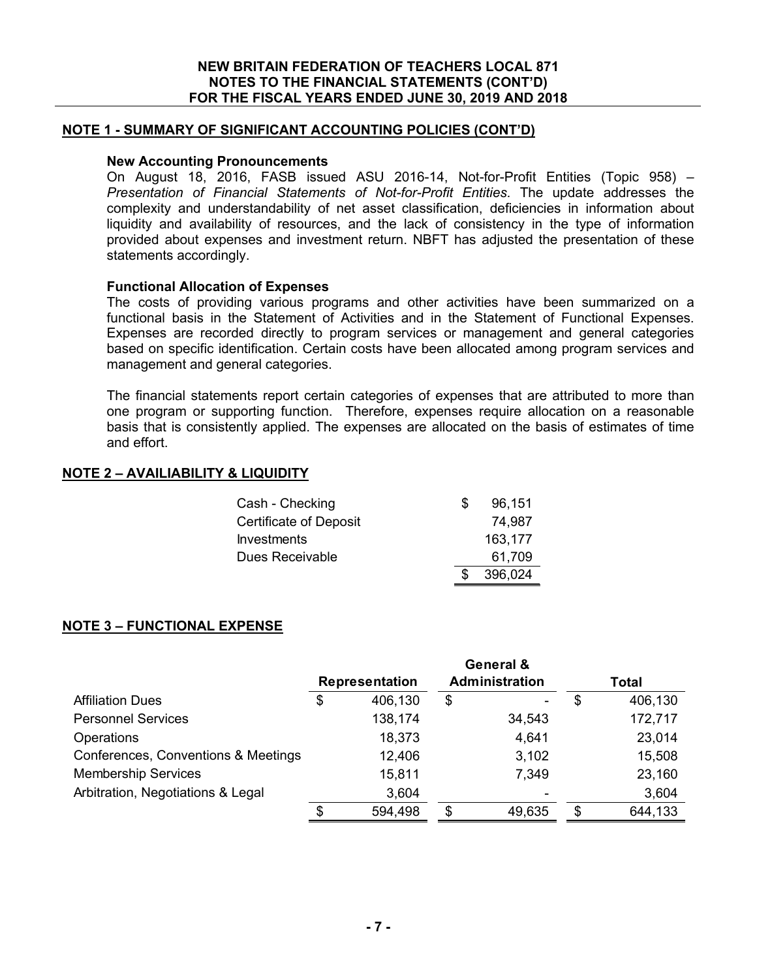# **NOTE 1 - SUMMARY OF SIGNIFICANT ACCOUNTING POLICIES (CONT'D)**

#### **New Accounting Pronouncements**

On August 18, 2016, FASB issued ASU 2016-14, Not-for-Profit Entities (Topic 958) – *Presentation of Financial Statements of Not-for-Profit Entities*. The update addresses the complexity and understandability of net asset classification, deficiencies in information about liquidity and availability of resources, and the lack of consistency in the type of information provided about expenses and investment return. NBFT has adjusted the presentation of these statements accordingly.

#### **Functional Allocation of Expenses**

The costs of providing various programs and other activities have been summarized on a functional basis in the Statement of Activities and in the Statement of Functional Expenses. Expenses are recorded directly to program services or management and general categories based on specific identification. Certain costs have been allocated among program services and management and general categories.

The financial statements report certain categories of expenses that are attributed to more than one program or supporting function. Therefore, expenses require allocation on a reasonable basis that is consistently applied. The expenses are allocated on the basis of estimates of time and effort.

# **NOTE 2 – AVAILIABILITY & LIQUIDITY**

| Cash - Checking        | SS | 96,151  |
|------------------------|----|---------|
| Certificate of Deposit |    | 74,987  |
| Investments            |    | 163,177 |
| Dues Receivable        |    | 61,709  |
|                        |    | 396,024 |

#### **NOTE 3 – FUNCTIONAL EXPENSE**

|                                     |                       | General &      |               |
|-------------------------------------|-----------------------|----------------|---------------|
|                                     | <b>Representation</b> | Administration | Total         |
| <b>Affiliation Dues</b>             | \$<br>406,130         | \$<br>-        | \$<br>406,130 |
| <b>Personnel Services</b>           | 138,174               | 34,543         | 172,717       |
| Operations                          | 18,373                | 4,641          | 23,014        |
| Conferences, Conventions & Meetings | 12,406                | 3,102          | 15,508        |
| <b>Membership Services</b>          | 15,811                | 7,349          | 23,160        |
| Arbitration, Negotiations & Legal   | 3,604                 |                | 3,604         |
|                                     | \$<br>594,498         | \$<br>49,635   | \$<br>644,133 |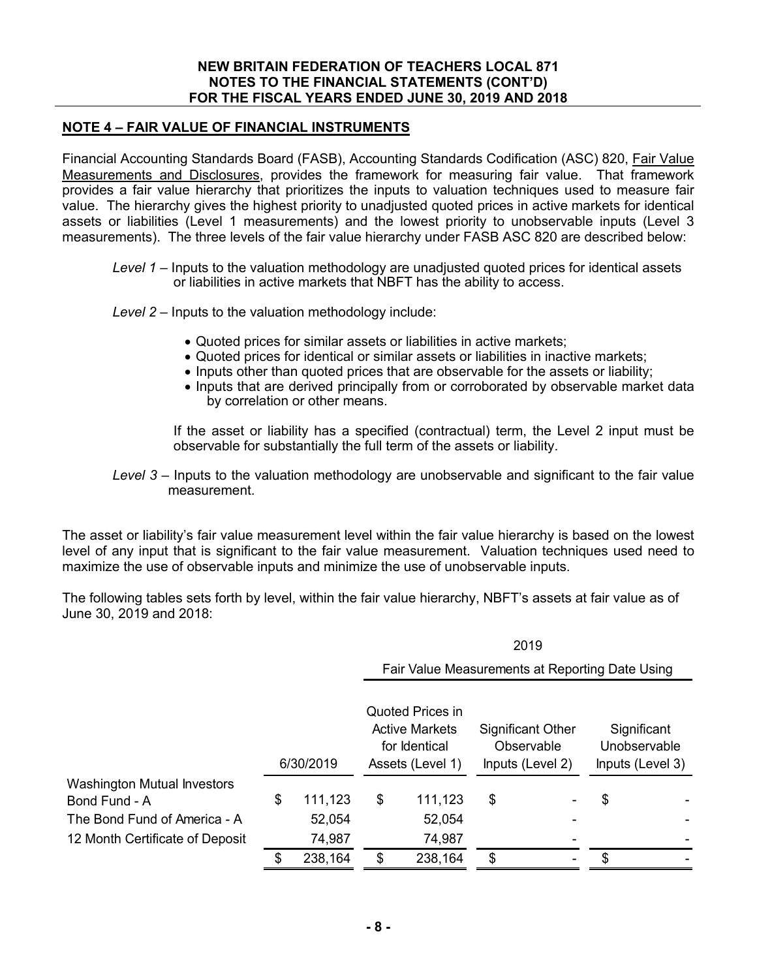# **NOTE 4 – FAIR VALUE OF FINANCIAL INSTRUMENTS**

Financial Accounting Standards Board (FASB), Accounting Standards Codification (ASC) 820, Fair Value Measurements and Disclosures, provides the framework for measuring fair value. That framework provides a fair value hierarchy that prioritizes the inputs to valuation techniques used to measure fair value. The hierarchy gives the highest priority to unadjusted quoted prices in active markets for identical assets or liabilities (Level 1 measurements) and the lowest priority to unobservable inputs (Level 3 measurements). The three levels of the fair value hierarchy under FASB ASC 820 are described below:

- *Level 1* Inputs to the valuation methodology are unadjusted quoted prices for identical assets or liabilities in active markets that NBFT has the ability to access.
- *Level 2* Inputs to the valuation methodology include:
	- Quoted prices for similar assets or liabilities in active markets;
	- Quoted prices for identical or similar assets or liabilities in inactive markets;
	- Inputs other than quoted prices that are observable for the assets or liability:
	- Inputs that are derived principally from or corroborated by observable market data by correlation or other means.

If the asset or liability has a specified (contractual) term, the Level 2 input must be observable for substantially the full term of the assets or liability.

 $2010$ 

*Level 3* – Inputs to the valuation methodology are unobservable and significant to the fair value measurement.

The asset or liability's fair value measurement level within the fair value hierarchy is based on the lowest level of any input that is significant to the fair value measurement. Valuation techniques used need to maximize the use of observable inputs and minimize the use of unobservable inputs.

The following tables sets forth by level, within the fair value hierarchy, NBFT's assets at fair value as of June 30, 2019 and 2018:

|                                                     |           |                                                 | 20 I J                                                                         |         |                                                            |   |                                                 |  |
|-----------------------------------------------------|-----------|-------------------------------------------------|--------------------------------------------------------------------------------|---------|------------------------------------------------------------|---|-------------------------------------------------|--|
|                                                     |           | Fair Value Measurements at Reporting Date Using |                                                                                |         |                                                            |   |                                                 |  |
|                                                     | 6/30/2019 |                                                 | Quoted Prices in<br><b>Active Markets</b><br>for Identical<br>Assets (Level 1) |         | <b>Significant Other</b><br>Observable<br>Inputs (Level 2) |   | Significant<br>Unobservable<br>Inputs (Level 3) |  |
| <b>Washington Mutual Investors</b><br>Bond Fund - A | \$        | 111,123                                         | \$                                                                             | 111,123 | \$                                                         |   | \$                                              |  |
| The Bond Fund of America - A                        |           | 52,054                                          |                                                                                | 52,054  |                                                            |   |                                                 |  |
| 12 Month Certificate of Deposit                     |           | 74,987                                          |                                                                                | 74,987  |                                                            |   |                                                 |  |
|                                                     | \$        | 238,164                                         | \$                                                                             | 238,164 | \$                                                         | ۰ | \$                                              |  |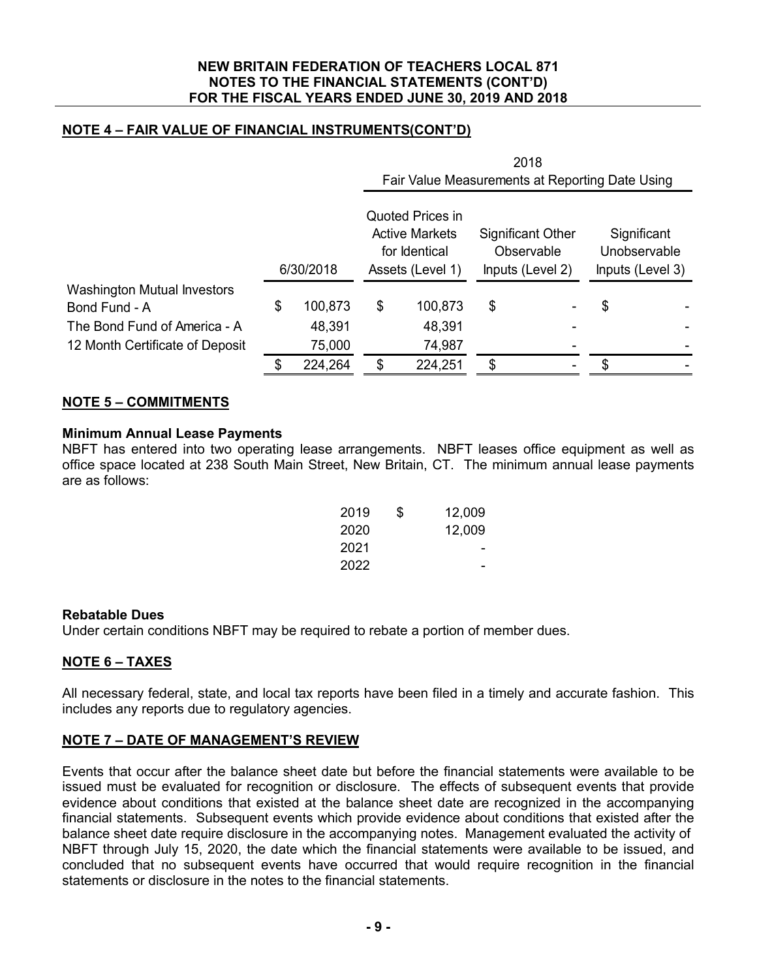# **NOTE 4 – FAIR VALUE OF FINANCIAL INSTRUMENTS(CONT'D)**

|                                    |           |         |                                                                                       |         |                                                     | 2018<br>Fair Value Measurements at Reporting Date Using |                                                 |  |  |
|------------------------------------|-----------|---------|---------------------------------------------------------------------------------------|---------|-----------------------------------------------------|---------------------------------------------------------|-------------------------------------------------|--|--|
|                                    | 6/30/2018 |         | <b>Quoted Prices in</b><br><b>Active Markets</b><br>for Identical<br>Assets (Level 1) |         | Significant Other<br>Observable<br>Inputs (Level 2) |                                                         | Significant<br>Unobservable<br>Inputs (Level 3) |  |  |
| <b>Washington Mutual Investors</b> |           |         |                                                                                       |         |                                                     |                                                         |                                                 |  |  |
| Bond Fund - A                      | \$        | 100,873 | \$                                                                                    | 100,873 | \$                                                  |                                                         | \$                                              |  |  |
| The Bond Fund of America - A       |           | 48,391  |                                                                                       | 48,391  |                                                     |                                                         |                                                 |  |  |
| 12 Month Certificate of Deposit    |           | 75,000  |                                                                                       | 74,987  |                                                     |                                                         |                                                 |  |  |
|                                    |           | 224,264 |                                                                                       | 224,251 | \$                                                  |                                                         | \$                                              |  |  |

# **NOTE 5 – COMMITMENTS**

# **Minimum Annual Lease Payments**

NBFT has entered into two operating lease arrangements. NBFT leases office equipment as well as office space located at 238 South Main Street, New Britain, CT. The minimum annual lease payments are as follows:

| 2019 | \$<br>12,009 |
|------|--------------|
| 2020 | 12,009       |
| 2021 |              |
| 2022 |              |

#### **Rebatable Dues**

Under certain conditions NBFT may be required to rebate a portion of member dues.

# **NOTE 6 – TAXES**

All necessary federal, state, and local tax reports have been filed in a timely and accurate fashion. This includes any reports due to regulatory agencies.

# **NOTE 7 – DATE OF MANAGEMENT'S REVIEW**

Events that occur after the balance sheet date but before the financial statements were available to be issued must be evaluated for recognition or disclosure. The effects of subsequent events that provide evidence about conditions that existed at the balance sheet date are recognized in the accompanying financial statements. Subsequent events which provide evidence about conditions that existed after the balance sheet date require disclosure in the accompanying notes. Management evaluated the activity of NBFT through July 15, 2020, the date which the financial statements were available to be issued, and concluded that no subsequent events have occurred that would require recognition in the financial statements or disclosure in the notes to the financial statements.